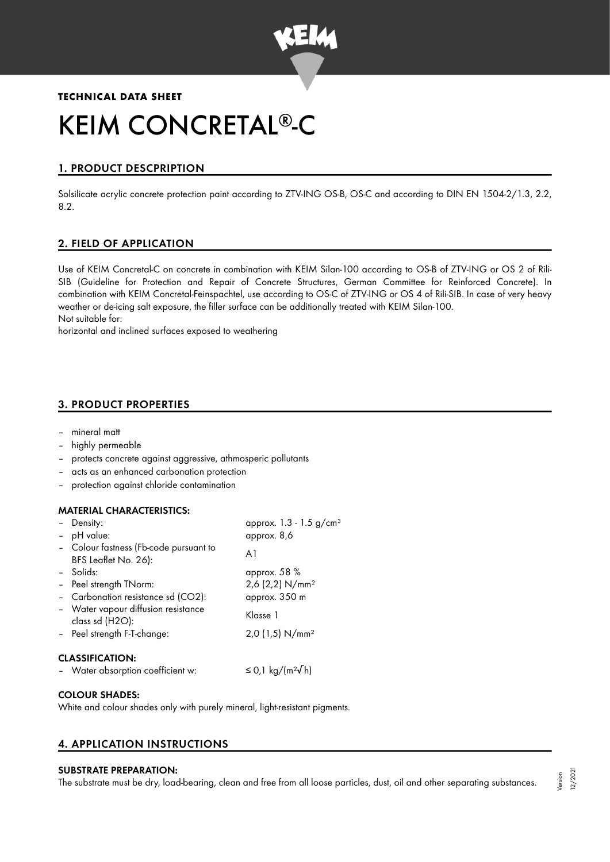

## **TECHNICAL DATA SHEET**

# KEIM CONCRETAL®-C

# 1. PRODUCT DESCPRIPTION

Solsilicate acrylic concrete protection paint according to ZTV-ING OS-B, OS-C and according to DIN EN 1504-2/1.3, 2.2, 8.2.

# 2. FIELD OF APPLICATION

Use of KEIM Concretal-C on concrete in combination with KEIM Silan-100 according to OS-B of ZTV-ING or OS 2 of Rili-SIB (Guideline for Protection and Repair of Concrete Structures, German Committee for Reinforced Concrete). In combination with KEIM Concretal-Feinspachtel, use according to OS-C of ZTV-ING or OS 4 of Rili-SIB. In case of very heavy weather or de-icing salt exposure, the filler surface can be additionally treated with KEIM Silan-100. Not suitable for:

horizontal and inclined surfaces exposed to weathering

## 3. PRODUCT PROPERTIES

- mineral matt
- highly permeable
- protects concrete against aggressive, athmosperic pollutants
- acts as an enhanced carbonation protection
- protection against chloride contamination

#### MATERIAL CHARACTERISTICS:

|                        | Density:<br>- pH value:                                        | approx. 1.3 - 1.5 g/cm <sup>3</sup><br>approx. 8,6 |  |  |
|------------------------|----------------------------------------------------------------|----------------------------------------------------|--|--|
|                        | - Colour fastness (Fb-code pursuant to<br>BFS Leaflet No. 26): | A1                                                 |  |  |
|                        | - Solids:                                                      | approx. 58 %                                       |  |  |
|                        | - Peel strength TNorm:                                         | 2,6 (2,2) N/mm <sup>2</sup>                        |  |  |
|                        | - Carbonation resistance sd (CO2):                             | approx. 350 m                                      |  |  |
|                        | - Water vapour diffusion resistance<br>class sd (H2O):         | Klasse 1                                           |  |  |
|                        | - Peel strength F-T-change:                                    | $2,0$ (1,5) N/mm <sup>2</sup>                      |  |  |
| <b>CLASSIFICATION:</b> |                                                                |                                                    |  |  |
|                        | - Water absorption coefficient w:                              | ≤ 0,1 kg/(m²√h)                                    |  |  |

#### COLOUR SHADES:

White and colour shades only with purely mineral, light-resistant pigments.

## 4. APPLICATION INSTRUCTIONS

#### SUBSTRATE PREPARATION:

The substrate must be dry, load-bearing, clean and free from all loose particles, dust, oil and other separating substances.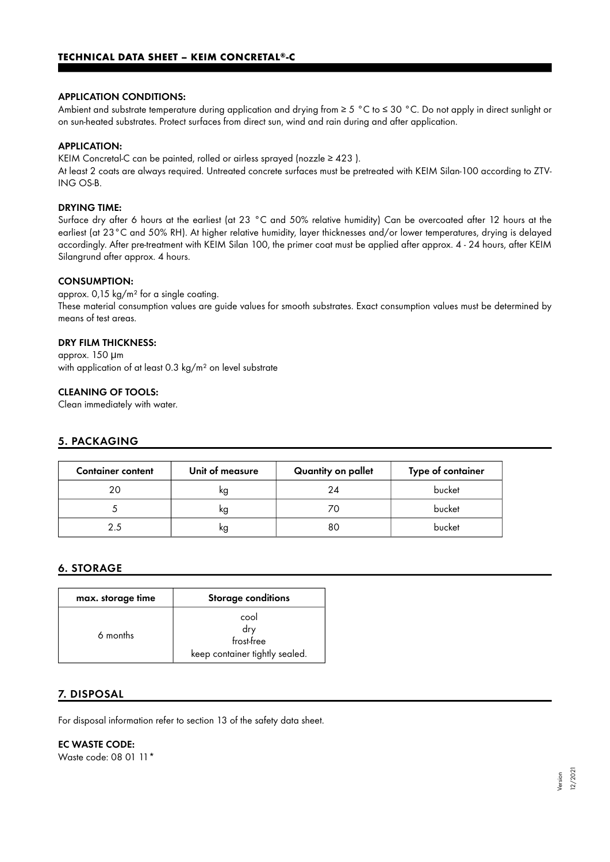#### APPLICATION CONDITIONS:

Ambient and substrate temperature during application and drying from ≥ 5 °C to ≤ 30 °C. Do not apply in direct sunlight or on sun-heated substrates. Protect surfaces from direct sun, wind and rain during and after application.

#### APPLICATION:

KEIM Concretal-C can be painted, rolled or airless sprayed (nozzle ≥ 423 ).

At least 2 coats are always required. Untreated concrete surfaces must be pretreated with KEIM Silan-100 according to ZTV-ING OS-B.

#### DRYING TIME:

Surface dry after 6 hours at the earliest (at 23 °C and 50% relative humidity) Can be overcoated after 12 hours at the earliest (at 23°C and 50% RH). At higher relative humidity, layer thicknesses and/or lower temperatures, drying is delayed accordingly. After pre-treatment with KEIM Silan 100, the primer coat must be applied after approx. 4 - 24 hours, after KEIM Silangrund after approx. 4 hours.

#### CONSUMPTION:

approx. 0,15 kg/m² for a single coating. These material consumption values are guide values for smooth substrates. Exact consumption values must be determined by means of test areas.

### DRY FILM THICKNESS:

approx. 150 μm with application of at least 0.3 kg/m<sup>2</sup> on level substrate

#### CLEANING OF TOOLS:

Clean immediately with water.

#### 5. PACKAGING

| <b>Container content</b> | Unit of measure | Quantity on pallet | Type of container |
|--------------------------|-----------------|--------------------|-------------------|
| 20                       | ĸg              | 24                 | bucket            |
|                          | ĸg              | 70                 | bucket            |
| 2.5                      | ĸg              | 80                 | bucket            |

## 6. STORAGE

| max. storage time | <b>Storage conditions</b>                                   |
|-------------------|-------------------------------------------------------------|
| 6 months          | cool<br>drv<br>frost-free<br>keep container tightly sealed. |

## 7. DISPOSAL

For disposal information refer to section 13 of the safety data sheet.

## EC WASTE CODE:

Waste code: 08 01 11\*